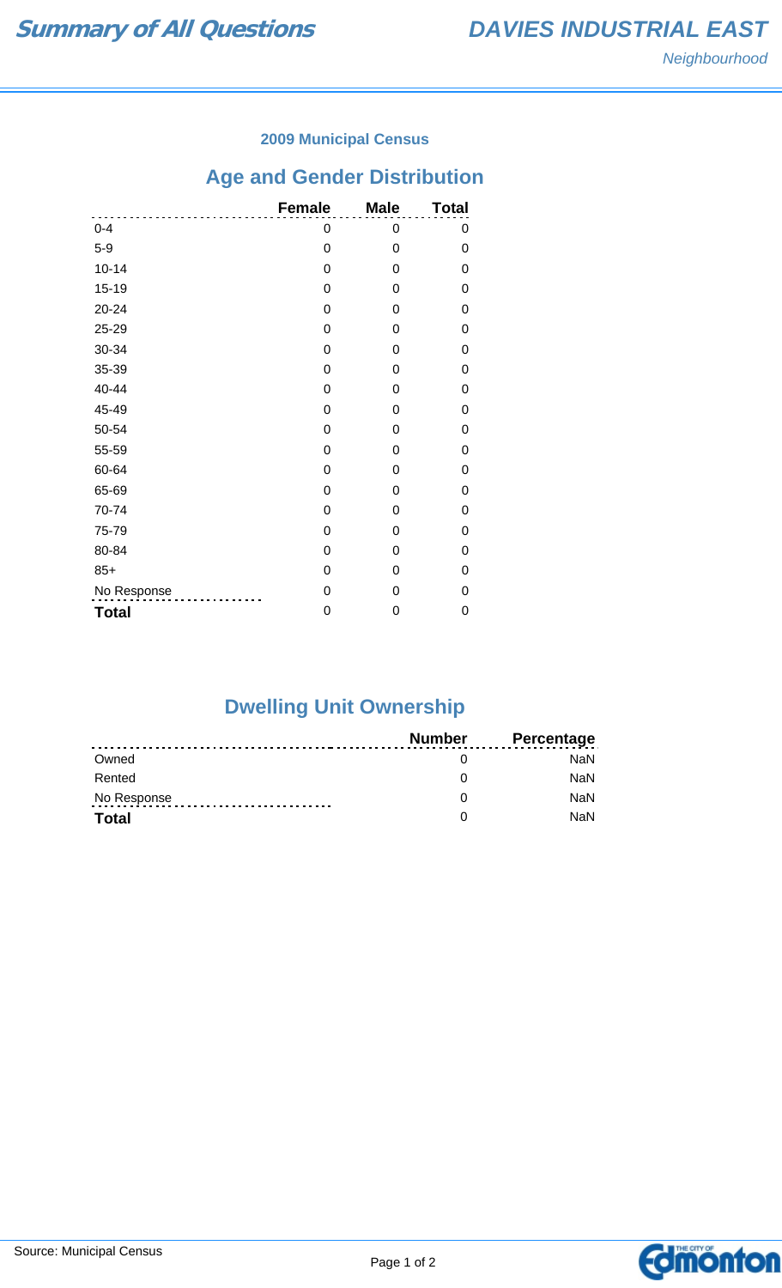### **2009 Municipal Census**

# **Age and Gender Distribution**

|              | <b>Female</b> | <b>Male</b> | <b>Total</b> |
|--------------|---------------|-------------|--------------|
| $0 - 4$      | 0             | 0           | 0            |
| $5-9$        | 0             | 0           | 0            |
| $10 - 14$    | 0             | 0           | 0            |
| $15 - 19$    | 0             | 0           | 0            |
| $20 - 24$    | 0             | 0           | 0            |
| 25-29        | 0             | 0           | 0            |
| 30-34        | 0             | 0           | 0            |
| 35-39        | 0             | 0           | 0            |
| 40-44        | 0             | 0           | 0            |
| 45-49        | 0             | 0           | 0            |
| 50-54        | 0             | 0           | 0            |
| 55-59        | 0             | 0           | 0            |
| 60-64        | 0             | 0           | 0            |
| 65-69        | 0             | 0           | 0            |
| 70-74        | 0             | 0           | 0            |
| 75-79        | 0             | 0           | 0            |
| 80-84        | 0             | 0           | 0            |
| $85+$        | 0             | 0           | 0            |
| No Response  | 0             | 0           | 0            |
| <b>Total</b> | 0             | 0           | 0            |

# **Dwelling Unit Ownership**

|              | Number | <b>Percentage</b> |
|--------------|--------|-------------------|
| Owned        |        | NaN.              |
| Rented       |        | <b>NaN</b>        |
| No Response  |        | <b>NaN</b>        |
| <b>Total</b> |        | <b>NaN</b>        |